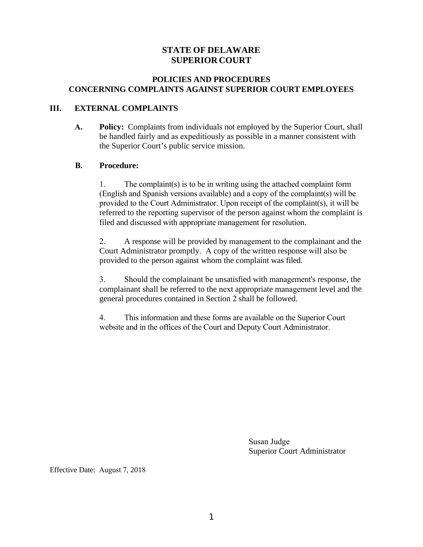#### **STATE OF DELAWARE SUPERIOR COURT**

#### **POLICIES AND PROCEDURES CONCERNING COMPLAINTS AGAINST SUPERIOR COURT EMPLOYEES**

#### **III. EXTERNAL COMPLAINTS**

**A. Policy:** Complaints from individuals not employed by the Superior Court, shall be handled fairly and as expeditiously as possible in a manner consistent with the Superior Court's public service mission.

#### **B. Procedure:**

1. The complaint(s) is to be in writing using the attached complaint form (English and Spanish versions available) and a copy of the complaint(s) will be provided to the Court Administrator. Upon receipt of the complaint(s), it will be referred to the reporting supervisor of the person against whom the complaint is filed and discussed with appropriate management for resolution.

2. A response will be provided by management to the complainant and the Court Administrator promptly. A copy of the written response will also be provided to the person against whom the complaint was filed.

3. Should the complainant be unsatisfied with management's response, the complainant shall be referred to the next appropriate management level and the general procedures contained in Section 2 shall be followed.

4. This information and these forms are available on the Superior Court website and in the offices of the Court and Deputy Court Administrator.

> Susan Judge Superior Court Administrator

Effective Date: August 7, 2018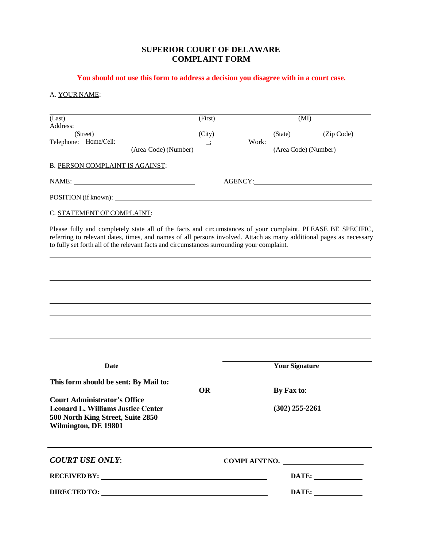#### **SUPERIOR COURT OF DELAWARE COMPLAINT FORM**

## **You should not use this form to address a decision you disagree with in a court case.**

## A. YOUR NAME:

| (Last)<br>Address:                                                                                                                                                                                                | (First)   |                                | (MI)                 |  |
|-------------------------------------------------------------------------------------------------------------------------------------------------------------------------------------------------------------------|-----------|--------------------------------|----------------------|--|
| <u> 1980 - Johann Barn, mars ann an t-Amhain Aonaich an t-Aonaich an t-Aonaich ann an t-Aonaich ann an t-Aonaich</u><br>(Street)                                                                                  | (City)    | (State)                        | (Zip Code)           |  |
| Telephone: Home/Cell:<br>(Area Code) (Number)                                                                                                                                                                     |           | Work:                          | (Area Code) (Number) |  |
| B. PERSON COMPLAINT IS AGAINST:                                                                                                                                                                                   |           |                                |                      |  |
|                                                                                                                                                                                                                   |           |                                |                      |  |
|                                                                                                                                                                                                                   |           | AGENCY:                        |                      |  |
|                                                                                                                                                                                                                   |           |                                |                      |  |
| C. STATEMENT OF COMPLAINT:                                                                                                                                                                                        |           |                                |                      |  |
| referring to relevant dates, times, and names of all persons involved. Attach as many additional pages as necessary<br>to fully set forth all of the relevant facts and circumstances surrounding your complaint. |           |                                |                      |  |
| Date                                                                                                                                                                                                              |           |                                |                      |  |
|                                                                                                                                                                                                                   |           | <b>Your Signature</b>          |                      |  |
| This form should be sent: By Mail to:                                                                                                                                                                             |           |                                |                      |  |
| <b>Court Administrator's Office</b><br><b>Leonard L. Williams Justice Center</b><br>500 North King Street, Suite 2850<br>Wilmington, DE 19801                                                                     | <b>OR</b> | By Fax to:<br>$(302)$ 255-2261 |                      |  |
| <b>COURT USE ONLY:</b>                                                                                                                                                                                            |           | COMPLAINT NO.                  |                      |  |
| RECEIVED BY:                                                                                                                                                                                                      |           |                                |                      |  |